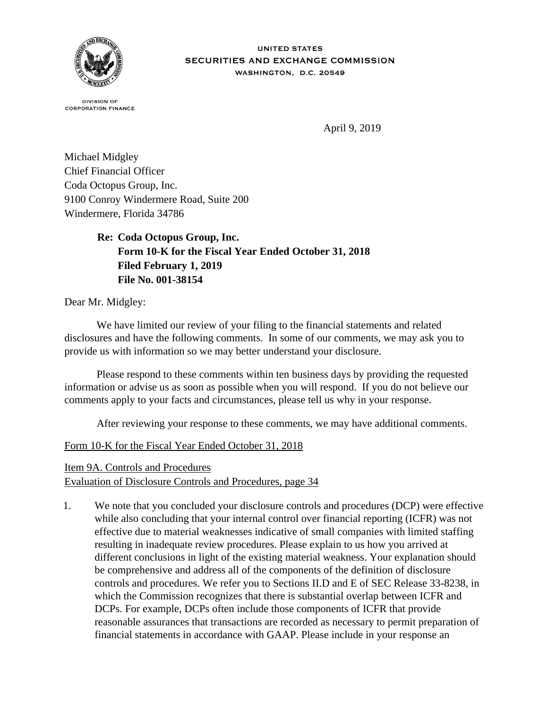

**DIVISION OF CORPORATION FINANCE** 

April 9, 2019

Michael Midgley Chief Financial Officer Coda Octopus Group, Inc. 9100 Conroy Windermere Road, Suite 200 Windermere, Florida 34786

> **Re: Coda Octopus Group, Inc. Form 10-K for the Fiscal Year Ended October 31, 2018 Filed February 1, 2019 File No. 001-38154**

Dear Mr. Midgley:

 We have limited our review of your filing to the financial statements and related disclosures and have the following comments. In some of our comments, we may ask you to provide us with information so we may better understand your disclosure.

 Please respond to these comments within ten business days by providing the requested information or advise us as soon as possible when you will respond. If you do not believe our comments apply to your facts and circumstances, please tell us why in your response.

After reviewing your response to these comments, we may have additional comments.

## Form 10-K for the Fiscal Year Ended October 31, 2018

Item 9A. Controls and Procedures

Evaluation of Disclosure Controls and Procedures, page 34

1. We note that you concluded your disclosure controls and procedures (DCP) were effective while also concluding that your internal control over financial reporting (ICFR) was not effective due to material weaknesses indicative of small companies with limited staffing resulting in inadequate review procedures. Please explain to us how you arrived at different conclusions in light of the existing material weakness. Your explanation should be comprehensive and address all of the components of the definition of disclosure controls and procedures. We refer you to Sections II.D and E of SEC Release 33-8238, in which the Commission recognizes that there is substantial overlap between ICFR and DCPs. For example, DCPs often include those components of ICFR that provide reasonable assurances that transactions are recorded as necessary to permit preparation of financial statements in accordance with GAAP. Please include in your response an